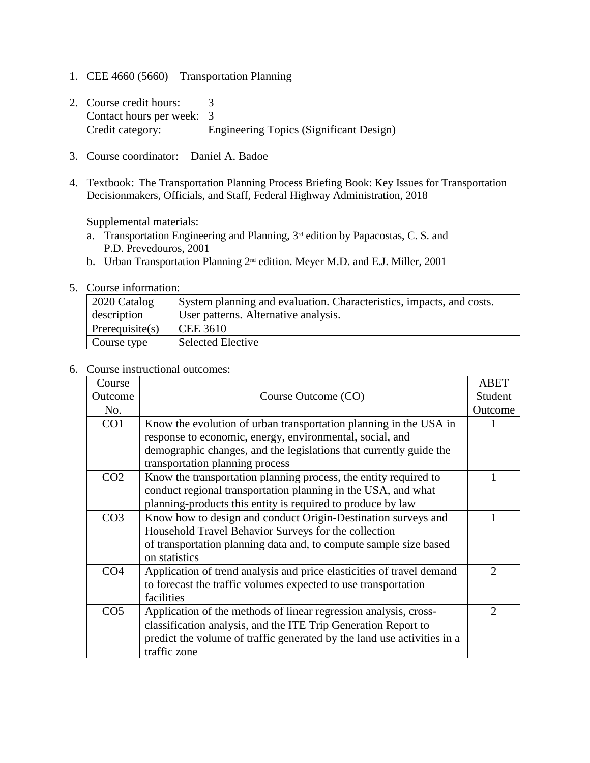- 1. CEE 4660 (5660) Transportation Planning
- 2. Course credit hours: 3 Contact hours per week: 3 Credit category: Engineering Topics (Significant Design)
- 3. Course coordinator: Daniel A. Badoe
- 4. Textbook: The Transportation Planning Process Briefing Book: Key Issues for Transportation Decisionmakers, Officials, and Staff, Federal Highway Administration, 2018

Supplemental materials:

- a. Transportation Engineering and Planning,  $3^{rd}$  edition by Papacostas, C. S. and P.D. Prevedouros, 2001
- b. Urban Transportation Planning 2<sup>nd</sup> edition. Meyer M.D. and E.J. Miller, 2001
- 5. Course information:

| 2020 Catalog       | System planning and evaluation. Characteristics, impacts, and costs. |
|--------------------|----------------------------------------------------------------------|
| description        | User patterns. Alternative analysis.                                 |
| Prerequisite $(s)$ | <b>CEE 3610</b>                                                      |
| Course type        | Selected Elective                                                    |

## 6. Course instructional outcomes:

| Course          |                                                                         | <b>ABET</b>                 |
|-----------------|-------------------------------------------------------------------------|-----------------------------|
| Outcome         | Course Outcome (CO)                                                     | Student                     |
| No.             |                                                                         | Outcome                     |
| CO <sub>1</sub> | Know the evolution of urban transportation planning in the USA in       |                             |
|                 | response to economic, energy, environmental, social, and                |                             |
|                 | demographic changes, and the legislations that currently guide the      |                             |
|                 | transportation planning process                                         |                             |
| CO <sub>2</sub> | Know the transportation planning process, the entity required to        |                             |
|                 | conduct regional transportation planning in the USA, and what           |                             |
|                 | planning-products this entity is required to produce by law             |                             |
| CO <sub>3</sub> | Know how to design and conduct Origin-Destination surveys and           |                             |
|                 | Household Travel Behavior Surveys for the collection                    |                             |
|                 | of transportation planning data and, to compute sample size based       |                             |
|                 | on statistics                                                           |                             |
| CO <sub>4</sub> | Application of trend analysis and price elasticities of travel demand   | 2                           |
|                 | to forecast the traffic volumes expected to use transportation          |                             |
|                 | facilities                                                              |                             |
| CO <sub>5</sub> | Application of the methods of linear regression analysis, cross-        | $\mathcal{D}_{\mathcal{A}}$ |
|                 | classification analysis, and the ITE Trip Generation Report to          |                             |
|                 | predict the volume of traffic generated by the land use activities in a |                             |
|                 | traffic zone                                                            |                             |